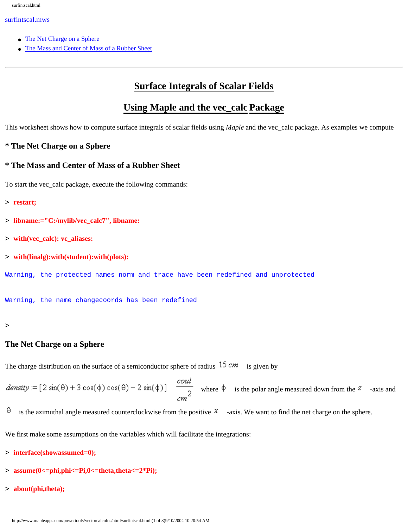#### [surfintscal.mws](#page-0-0)

- [The Net Charge on a Sphere](#page-4-0)
- [The Mass and Center of Mass of a Rubber Sheet](#page-7-0)

# **Surface Integrals of Scalar Fields**

# **Using Maple and the vec\_calc Package**

This worksheet shows how to compute surface integrals of scalar fields using *Maple* and the vec\_calc package. As examples we compute

## **\* The Net Charge on a Sphere**

## **\* The Mass and Center of Mass of a Rubber Sheet**

To start the vec\_calc package, execute the following commands:

```
> restart;
```
- > **libname:="C:/mylib/vec\_calc7", libname:**
- > **with(vec\_calc): vc\_aliases:**
- > **with(linalg):with(student):with(plots):**

Warning, the protected names norm and trace have been redefined and unprotected

Warning, the name changecoords has been redefined

#### <span id="page-0-0"></span>>

## **The Net Charge on a Sphere**

The charge distribution on the surface of a semiconductor sphere of radius  $15 cm$  is given by

 $density := [2 \sin(\theta) + 3 \cos(\phi) \cos(\theta) - 2 \sin(\phi)]$   $\frac{coul}{2}$  where  $\phi$  is the polar angle measured down from the  $z$  -axis and

θ is the azimuthal angle measured counterclockwise from the positive  $\bar{x}$  -axis. We want to find the net charge on the sphere.

We first make some assumptions on the variables which will facilitate the integrations:

- > **interface(showassumed=0);**
- > **assume(0<=phi,phi<=Pi,0<=theta,theta<=2\*Pi);**
- > **about(phi,theta);**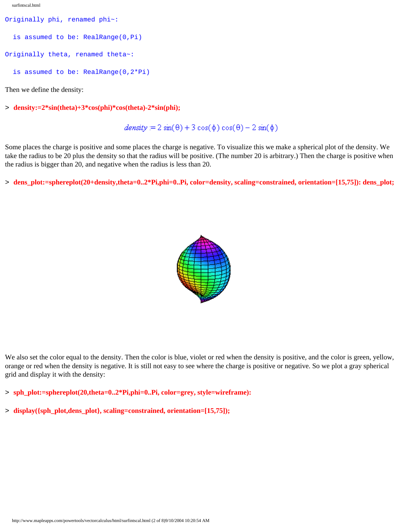surfintscal.html

```
Originally phi, renamed phi~:
   is assumed to be: RealRange(0,Pi)
Originally theta, renamed theta~:
   is assumed to be: RealRange(0,2*Pi)
```
Then we define the density:

> **density:=2\*sin(theta)+3\*cos(phi)\*cos(theta)-2\*sin(phi);**

 $density = 2 sin(\theta) + 3 cos(\phi) cos(\theta) - 2 sin(\phi)$ 

Some places the charge is positive and some places the charge is negative. To visualize this we make a spherical plot of the density. We take the radius to be 20 plus the density so that the radius will be positive. (The number 20 is arbitrary.) Then the charge is positive when the radius is bigger than 20, and negative when the radius is less than 20.

> **dens\_plot:=sphereplot(20+density,theta=0..2\*Pi,phi=0..Pi, color=density, scaling=constrained, orientation=[15,75]): dens\_plot;**



We also set the color equal to the density. Then the color is blue, violet or red when the density is positive, and the color is green, yellow, orange or red when the density is negative. It is still not easy to see where the charge is positive or negative. So we plot a gray spherical grid and display it with the density:

> **sph\_plot:=sphereplot(20,theta=0..2\*Pi,phi=0..Pi, color=grey, style=wireframe):** 

> **display({sph\_plot,dens\_plot}, scaling=constrained, orientation=[15,75]);**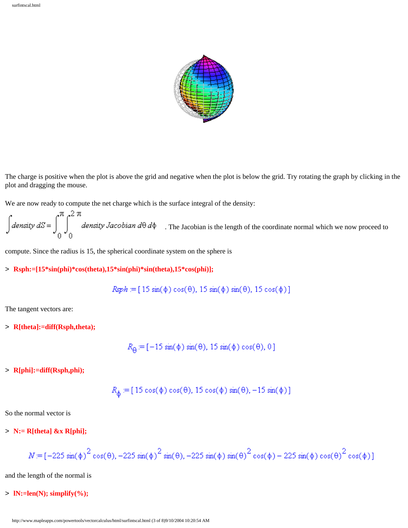

The charge is positive when the plot is above the grid and negative when the plot is below the grid. Try rotating the graph by clicking in the plot and dragging the mouse.

We are now ready to compute the net charge which is the surface integral of the density:

$$
\int
$$
 density  $dS = \int_{0}^{\pi} \int_{0}^{2\pi}$  density Jacobian  $d\theta d\phi$ . The Jacobian is the length of the coordinate normal which we now proceed to

compute. Since the radius is 15, the spherical coordinate system on the sphere is

#### > **Rsph:=[15\*sin(phi)\*cos(theta),15\*sin(phi)\*sin(theta),15\*cos(phi)];**

$$
Rsph = [15 \sin(\phi) \cos(\theta), 15 \sin(\phi) \sin(\theta), 15 \cos(\phi)]
$$

The tangent vectors are:

> **R[theta]:=diff(Rsph,theta);**

 $R_\Theta \! \coloneqq \! [-15 \, \sin(\phi) \, \sin(\theta), \, 15 \, \sin(\phi) \, \cos(\theta), \, 0]$ 

> **R[phi]:=diff(Rsph,phi);**

$$
R_{\phi} := [15 \cos(\phi) \cos(\theta), 15 \cos(\phi) \sin(\theta), -15 \sin(\phi)]
$$

So the normal vector is

> **N:= R[theta] &x R[phi];**

$$
N = \left[-225\sin(\phi)^2\cos(\theta), -225\sin(\phi)^2\sin(\theta), -225\sin(\phi)\sin(\theta)^2\cos(\phi) - 225\sin(\phi)\cos(\theta)^2\cos(\phi)\right]
$$

and the length of the normal is

## > **lN:=len(N); simplify(%);**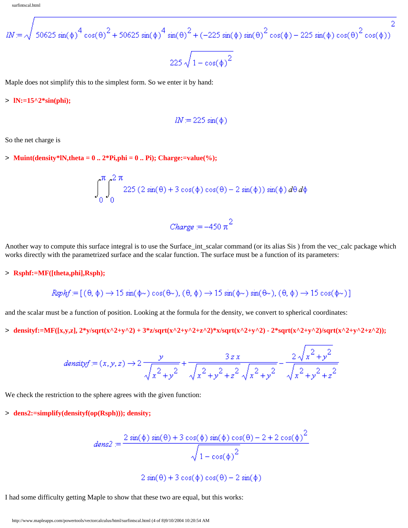$$
lN = \sqrt{50625 \sin(\phi)^{4} \cos(\theta)^{2} + 50625 \sin(\phi)^{4} \sin(\theta)^{2} + (-225 \sin(\phi) \sin(\theta)^{2} \cos(\phi) - 225 \sin(\phi) \cos(\theta)^{2} \cos(\phi))}
$$
  
225  $\sqrt{1 - \cos(\phi)^{2}}$ 

Maple does not simplify this to the simplest form. So we enter it by hand:

> **lN:=15^2\*sin(phi);**

$$
lN = 225 \sin(\phi)
$$

So the net charge is

 $>$  **Muint(density\*lN,theta = 0 .. 2\*Pi,phi = 0 .. Pi); Charge:=value(%);** 

$$
\int_0^{\pi} \int_0^{2\pi} 225 (2\sin(\theta) + 3\cos(\phi)\cos(\theta) - 2\sin(\phi)) \sin(\phi) d\theta d\phi
$$

$$
charge = -450 \pi^2
$$

Another way to compute this surface integral is to use the Surface\_int\_scalar command (or its alias Sis ) from the vec\_calc package which works directly with the parametrized surface and the scalar function. The surface must be a function of its parameters:

#### > **Rsphf:=MF([theta,phi],Rsph);**

$$
\text{Rsphf} := [(\theta, \phi) \to 15 \sin(\phi \sim) \cos(\theta \sim), (\theta, \phi) \to 15 \sin(\phi \sim) \sin(\theta \sim), (\theta, \phi) \to 15 \cos(\phi \sim)]
$$

and the scalar must be a function of position. Looking at the formula for the density, we convert to spherical coordinates:

 $>$  densityf:=MF([x,y,z], 2\*y/sqrt(x^2+y^2) + 3\*z/sqrt(x^2+y^2+z^2)\*x/sqrt(x^2+y^2) - 2\*sqrt(x^2+y^2)/sqrt(x^2+y^2+z^2));

$$
density f := (x, y, z) \rightarrow 2 \frac{y}{\sqrt{x^2 + y^2}} + \frac{3 z x}{\sqrt{x^2 + y^2 + z^2} \sqrt{x^2 + y^2}} - \frac{2 \sqrt{x^2 + y^2}}{\sqrt{x^2 + y^2 + z^2}}
$$

We check the restriction to the sphere agrees with the given function:

> **dens2:=simplify(densityf(op(Rsph))); density;**

$$
dens2 = \frac{2 \sin(\phi) \sin(\theta) + 3 \cos(\phi) \sin(\phi) \cos(\theta) - 2 + 2 \cos(\phi)^2}{\sqrt{1 - \cos(\phi)^2}}
$$

Ä.

$$
2\sin(\theta) + 3\cos(\phi)\cos(\theta) - 2\sin(\phi)
$$

I had some difficulty getting Maple to show that these two are equal, but this works: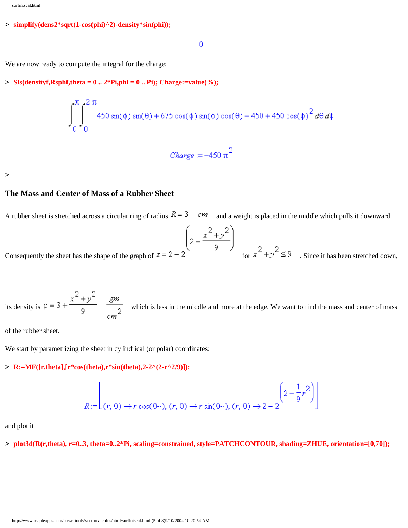#### > **simplify(dens2\*sqrt(1-cos(phi)^2)-density\*sin(phi));**

 $\theta$ 

We are now ready to compute the integral for the charge:

#### $>$  **Sis(densityf, Rsphf, theta** =  $0 \dots 2*P$ **i, phi** =  $0 \dots P$ **i**); Charge:=value(%);

$$
\int_{0}^{\pi} \int_{0}^{2\pi} 450 \sin(\phi) \sin(\theta) + 675 \cos(\phi) \sin(\phi) \cos(\theta) - 450 + 450 \cos(\phi)^{2} d\theta d\phi
$$

$$
Change = -450 \pi^2
$$

<span id="page-4-0"></span>>

### **The Mass and Center of Mass of a Rubber Sheet**

A rubber sheet is stretched across a circular ring of radius  $R = 3$  cm and a weight is placed in the middle which pulls it downward.

$$
\left(2-\frac{x^2+y^2}{9}\right)
$$

Consequently the sheet has the shape of the graph of  $z = 2 - 2$   $\qquad \qquad$   $\qquad$   $\qquad$   $\qquad$   $\qquad$   $\qquad$   $\qquad$   $\qquad$   $\qquad$   $\qquad$   $\qquad$   $\qquad$   $\qquad$   $\qquad$   $\qquad$   $\qquad$   $\qquad$   $\qquad$   $\qquad$   $\qquad$   $\qquad$   $\qquad$   $\qquad$   $\qquad$   $\qquad$   $\qquad$ 

its density is  $\rho = 3 + \frac{x^2 + y^2}{9}$   $\frac{gm}{cm^2}$  which is less in the middle and more at the edge. We want to find the mass and center of mass

of the rubber sheet.

We start by parametrizing the sheet in cylindrical (or polar) coordinates:

## > **R:=MF([r,theta],[r\*cos(theta),r\*sin(theta),2-2^(2-r^2/9)]);**

$$
R = \left[ (r, \theta) \to r \cos(\theta \sim), (r, \theta) \to r \sin(\theta \sim), (r, \theta) \to 2 - 2 \right]^{2} \left[ 2 - \frac{1}{9} r^2 \right]
$$

and plot it

> **plot3d(R(r,theta), r=0..3, theta=0..2\*Pi, scaling=constrained, style=PATCHCONTOUR, shading=ZHUE, orientation=[0,70]);**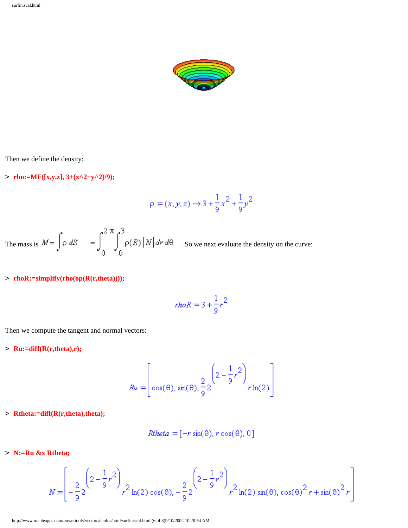

Then we define the density:

 $\text{the:}\text{MF}([x,y,z], 3+(x^2+y^2)/9);$ 

$$
\rho := (x, y, z) \to 3 + \frac{1}{9}x^2 + \frac{1}{9}y^2
$$

The mass is  $M = \int \rho dS = \int_0^2 \int_0^3 \rho(R) |N| dr d\theta$ . So we next evaluate the density on the curve:

## > **rhoR:=simplify(rho(op(R(r,theta))));**

$$
rhoR = 3 + \frac{1}{9}r^2
$$

Then we compute the tangent and normal vectors:

> **Ru:=diff(R(r,theta),r);**

$$
Ru = \left[\cos(\theta), \sin(\theta), \frac{2}{9}2\left(2 - \frac{1}{9}r^2\right)r\ln(2)\right]
$$

> **Rtheta:=diff(R(r,theta),theta);**

$$
Rtheta = [-r \sin(\theta), r \cos(\theta), 0]
$$

> **N:=Ru &x Rtheta;**

$$
N = \left[ -\frac{2}{9} 2 \left( 2 - \frac{1}{9} r^2 \right) \right]_{r^2 \ln(2) \cos(\theta), -\frac{2}{9} 2} \left( 2 - \frac{1}{9} r^2 \right)_{r^2 \ln(2) \sin(\theta), \cos(\theta)^2 r + \sin(\theta)^2 r
$$

http://www.mapleapps.com/powertools/vectorcalculus/html/surfintscal.html (6 of 8)9/10/2004 10:20:54 AM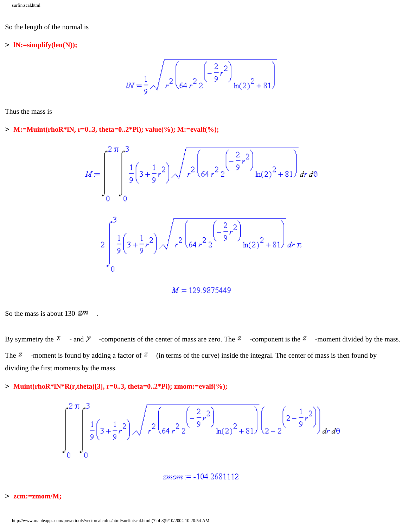#### So the length of the normal is

#### > **lN:=simplify(len(N));**

$$
lN = \frac{1}{9} \sqrt{r^2 \left(64 r^2 \frac{2}{\epsilon^2} \right)^2 \ln(2)^2 + 81}
$$

Thus the mass is

# > **M:=Muint(rhoR\*lN, r=0..3, theta=0..2\*Pi); value(%); M:=evalf(%);**

$$
M = \int_{0}^{2\pi} \int_{0}^{3} \frac{1}{9} \left(3 + \frac{1}{9}r^{2}\right) \sqrt{r^{2} \left(64r^{2} 2\left(-\frac{2}{9}r^{2}\right)\ln(2)^{2} + 81\right)} dr d\theta
$$
  

$$
2 \int_{0}^{3} \frac{1}{9} \left(3 + \frac{1}{9}r^{2}\right) \sqrt{r^{2} \left(64r^{2} 2\left(-\frac{2}{9}r^{2}\right)\ln(2)^{2} + 81\right)} dr \pi
$$

## $M = 129.9875449$

So the mass is about 130  $\mathbb{Z}^m$ .

By symmetry the  $x =$  and  $y =$  -components of the center of mass are zero. The  $z =$  -component is the  $z =$  -moment divided by the mass. The  $z$  -moment is found by adding a factor of  $z$  (in terms of the curve) inside the integral. The center of mass is then found by dividing the first moments by the mass.

### > **Muint(rhoR\*lN\*R(r,theta)[3], r=0..3, theta=0..2\*Pi); zmom:=evalf(%);**

$$
\int_{0}^{2\pi} \int_{0}^{3} \frac{1}{9} \left(3 + \frac{1}{9}r^{2}\right) \sqrt{r^{2} \left(64r^{2} 2\right)} \left(2 + \frac{2}{9}r^{2}\right) \ln(2)^{2} + 81} \Biggl[ \left(2 - \frac{1}{9}r^{2}\right) \right] dr d\theta
$$

 $zmom = -104.2681112$ 

#### > **zcm:=zmom/M;**